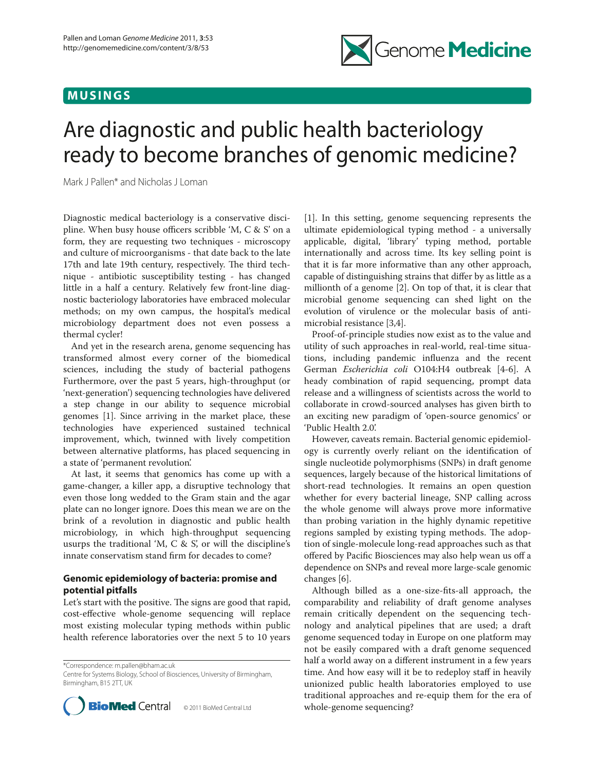# **MUSINGS**



# Are diagnostic and public health bacteriology ready to become branches of genomic medicine?

Mark J Pallen\* and Nicholas J Loman

Diagnostic medical bacteriology is a conservative discipline. When busy house officers scribble 'M, C & S' on a form, they are requesting two techniques - microscopy and culture of microorganisms - that date back to the late 17th and late 19th century, respectively. The third technique - antibiotic susceptibility testing - has changed little in a half a century. Relatively few front-line diagnostic bacteriology laboratories have embraced molecular methods; on my own campus, the hospital's medical microbiology department does not even possess a thermal cycler!

And yet in the research arena, genome sequencing has transformed almost every corner of the biomedical sciences, including the study of bacterial pathogens Furthermore, over the past 5 years, high-throughput (or 'next-generation') sequencing technologies have delivered a step change in our ability to sequence microbial genomes [1]. Since arriving in the market place, these technologies have experienced sustained technical improvement, which, twinned with lively competition between alternative platforms, has placed sequencing in a state of 'permanent revolution'.

At last, it seems that genomics has come up with a game-changer, a killer app, a disruptive technology that even those long wedded to the Gram stain and the agar plate can no longer ignore. Does this mean we are on the brink of a revolution in diagnostic and public health microbiology, in which high-throughput sequencing usurps the traditional 'M,  $C \& S'$ , or will the discipline's innate conservatism stand firm for decades to come?

## **Genomic epidemiology of bacteria: promise and potential pitfalls**

Let's start with the positive. The signs are good that rapid, cost-effective whole-genome sequencing will replace most existing molecular typing methods within public health reference laboratories over the next 5 to 10 years

\*Correspondence: m.pallen@bham.ac.uk

Centre for Systems Biology, School of Biosciences, University of Birmingham, Birmingham, B15 2TT, UK



[1]. In this setting, genome sequencing represents the ultimate epidemiological typing method - a universally applicable, digital, 'library' typing method, portable internationally and across time. Its key selling point is that it is far more informative than any other approach, capable of distinguishing strains that differ by as little as a millionth of a genome [2]. On top of that, it is clear that microbial genome sequencing can shed light on the evolution of virulence or the molecular basis of antimicrobial resistance [3,4].

Proof-of-principle studies now exist as to the value and utility of such approaches in real-world, real-time situations, including pandemic influenza and the recent German *Escherichia coli* O104:H4 outbreak [4-6]. A heady combination of rapid sequencing, prompt data release and a willingness of scientists across the world to collaborate in crowd-sourced analyses has given birth to an exciting new paradigm of 'open-source genomics' or 'Public Health 2.0'.

However, caveats remain. Bacterial genomic epidemiology is currently overly reliant on the identification of single nucleotide polymorphisms (SNPs) in draft genome sequences, largely because of the historical limitations of short-read technologies. It remains an open question whether for every bacterial lineage, SNP calling across the whole genome will always prove more informative than probing variation in the highly dynamic repetitive regions sampled by existing typing methods. The adoption of single-molecule long-read approaches such as that offered by Pacific Biosciences may also help wean us off a dependence on SNPs and reveal more large-scale genomic changes [6].

Although billed as a one-size-fits-all approach, the comparability and reliability of draft genome analyses remain critically dependent on the sequencing technology and analytical pipelines that are used; a draft genome sequenced today in Europe on one platform may not be easily compared with a draft genome sequenced half a world away on a different instrument in a few years time. And how easy will it be to redeploy staff in heavily unionized public health laboratories employed to use traditional approaches and re-equip them for the era of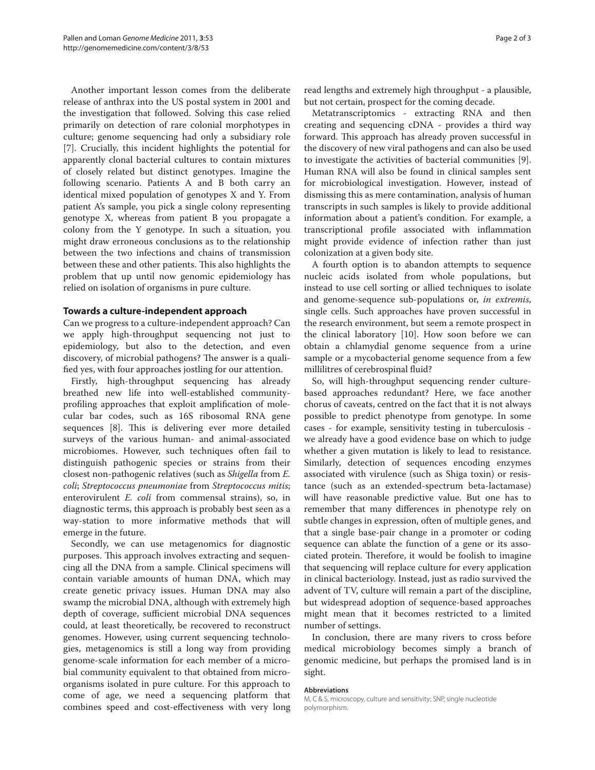Another important lesson comes from the deliberate release of anthrax into the US postal system in 2001 and the investigation that followed. Solving this case relied primarily on detection of rare colonial morphotypes in culture; genome sequencing had only a subsidiary role [7]. Crucially, this incident highlights the potential for apparently clonal bacterial cultures to contain mixtures of closely related but distinct genotypes. Imagine the following scenario. Patients A and B both carry an identical mixed population of genotypes X and Y. From patient A's sample, you pick a single colony representing genotype X, whereas from patient B you propagate a colony from the Y genotype. In such a situation, you might draw erroneous conclusions as to the relationship between the two infections and chains of transmission between these and other patients. This also highlights the problem that up until now genomic epidemiology has relied on isolation of organisms in pure culture.

### **Towards a culture-independent approach**

Can we progress to a culture-independent approach? Can we apply high-throughput sequencing not just to epidemiology, but also to the detection, and even discovery, of microbial pathogens? The answer is a qualified yes, with four approaches jostling for our attention.

Firstly, high-throughput sequencing has already breathed new life into well-established communityprofiling approaches that exploit amplification of molecular bar codes, such as 16S ribosomal RNA gene sequences [8]. This is delivering ever more detailed surveys of the various human- and animal-associated microbiomes. However, such techniques often fail to distinguish pathogenic species or strains from their closest non-pathogenic relatives (such as *Shigella* from *E. coli*; *Streptococcus pneumoniae* from *Streptococcus mitis*; enterovirulent *E. coli* from commensal strains), so, in diagnostic terms, this approach is probably best seen as a way-station to more informative methods that will emerge in the future.

Secondly, we can use metagenomics for diagnostic purposes. This approach involves extracting and sequencing all the DNA from a sample. Clinical specimens will contain variable amounts of human DNA, which may create genetic privacy issues. Human DNA may also swamp the microbial DNA, although with extremely high depth of coverage, sufficient microbial DNA sequences could, at least theoretically, be recovered to reconstruct genomes. However, using current sequencing technologies, metagenomics is still a long way from providing genome-scale information for each member of a microbial community equivalent to that obtained from microorganisms isolated in pure culture. For this approach to come of age, we need a sequencing platform that combines speed and cost-effectiveness with very long read lengths and extremely high throughput - a plausible, but not certain, prospect for the coming decade.

Metatranscriptomics - extracting RNA and then creating and sequencing cDNA - provides a third way forward. This approach has already proven successful in the discovery of new viral pathogens and can also be used to investigate the activities of bacterial communities [9]. Human RNA will also be found in clinical samples sent for microbiological investigation. However, instead of dismissing this as mere contamination, analysis of human transcripts in such samples is likely to provide additional information about a patient's condition. For example, a transcriptional profile associated with inflammation might provide evidence of infection rather than just colonization at a given body site.

A fourth option is to abandon attempts to sequence nucleic acids isolated from whole populations, but instead to use cell sorting or allied techniques to isolate and genome-sequence sub-populations or, *in extremis*, single cells. Such approaches have proven successful in the research environment, but seem a remote prospect in the clinical laboratory [10]. How soon before we can obtain a chlamydial genome sequence from a urine sample or a mycobacterial genome sequence from a few millilitres of cerebrospinal fluid?

So, will high-throughput sequencing render culturebased approaches redundant? Here, we face another chorus of caveats, centred on the fact that it is not always possible to predict phenotype from genotype. In some cases - for example, sensitivity testing in tuberculosis we already have a good evidence base on which to judge whether a given mutation is likely to lead to resistance. Similarly, detection of sequences encoding enzymes associated with virulence (such as Shiga toxin) or resistance (such as an extended-spectrum beta-lactamase) will have reasonable predictive value. But one has to remember that many differences in phenotype rely on subtle changes in expression, often of multiple genes, and that a single base-pair change in a promoter or coding sequence can ablate the function of a gene or its associated protein. Therefore, it would be foolish to imagine that sequencing will replace culture for every application in clinical bacteriology. Instead, just as radio survived the advent of TV, culture will remain a part of the discipline, but widespread adoption of sequence-based approaches might mean that it becomes restricted to a limited number of settings.

In conclusion, there are many rivers to cross before medical microbiology becomes simply a branch of genomic medicine, but perhaps the promised land is in sight.

#### **Abbreviations**

M, C & S, microscopy, culture and sensitivity; SNP, single nucleotide polymorphism.